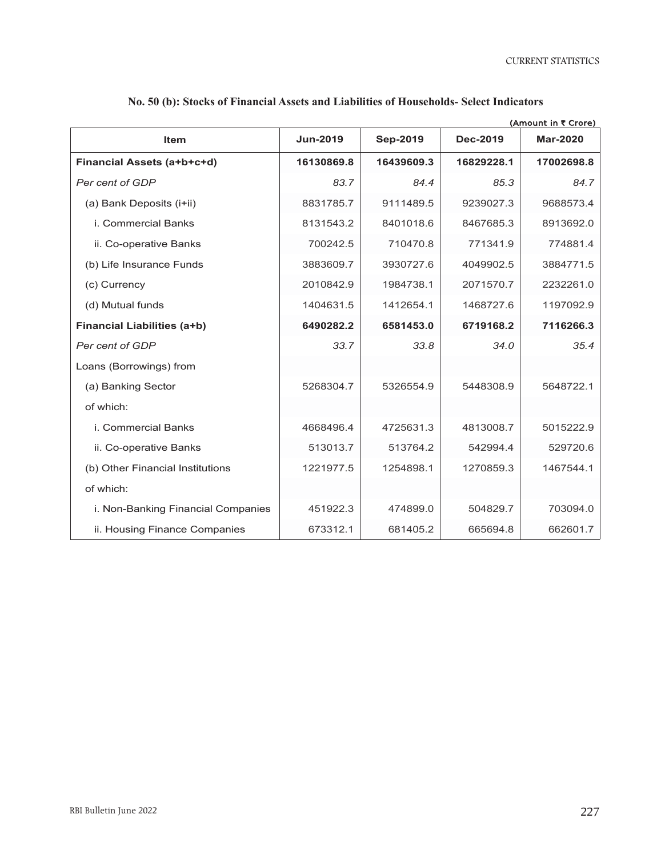CURRENT STATISTICS

| <b>Item</b>                        | <b>Jun-2019</b> | Sep-2019   | <b>Dec-2019</b> | (Amount in ₹ Crore)<br><b>Mar-2020</b> |
|------------------------------------|-----------------|------------|-----------------|----------------------------------------|
| Financial Assets (a+b+c+d)         | 16130869.8      | 16439609.3 | 16829228.1      | 17002698.8                             |
| Per cent of GDP                    | 83.7            | 84.4       | 85.3            | 84.7                                   |
| (a) Bank Deposits (i+ii)           | 8831785.7       | 9111489.5  | 9239027.3       | 9688573.4                              |
| i. Commercial Banks                | 8131543.2       | 8401018.6  | 8467685.3       | 8913692.0                              |
| ii. Co-operative Banks             | 700242.5        | 710470.8   | 771341.9        | 774881.4                               |
| (b) Life Insurance Funds           | 3883609.7       | 3930727.6  | 4049902.5       | 3884771.5                              |
| (c) Currency                       | 2010842.9       | 1984738.1  | 2071570.7       | 2232261.0                              |
| (d) Mutual funds                   | 1404631.5       | 1412654.1  | 1468727.6       | 1197092.9                              |
| <b>Financial Liabilities (a+b)</b> | 6490282.2       | 6581453.0  | 6719168.2       | 7116266.3                              |
| Per cent of GDP                    | 33.7            | 33.8       | 34.0            | 35.4                                   |
| Loans (Borrowings) from            |                 |            |                 |                                        |
| (a) Banking Sector                 | 5268304.7       | 5326554.9  | 5448308.9       | 5648722.1                              |
| of which:                          |                 |            |                 |                                        |
| i. Commercial Banks                | 4668496.4       | 4725631.3  | 4813008.7       | 5015222.9                              |
| ii. Co-operative Banks             | 513013.7        | 513764.2   | 542994.4        | 529720.6                               |
| (b) Other Financial Institutions   | 1221977.5       | 1254898.1  | 1270859.3       | 1467544.1                              |
| of which:                          |                 |            |                 |                                        |
| i. Non-Banking Financial Companies | 451922.3        | 474899.0   | 504829.7        | 703094.0                               |
| ii. Housing Finance Companies      | 673312.1        | 681405.2   | 665694.8        | 662601.7                               |

## No. 50 (b): Stocks of Financial Assets and Liabilities of Households- Select Indicators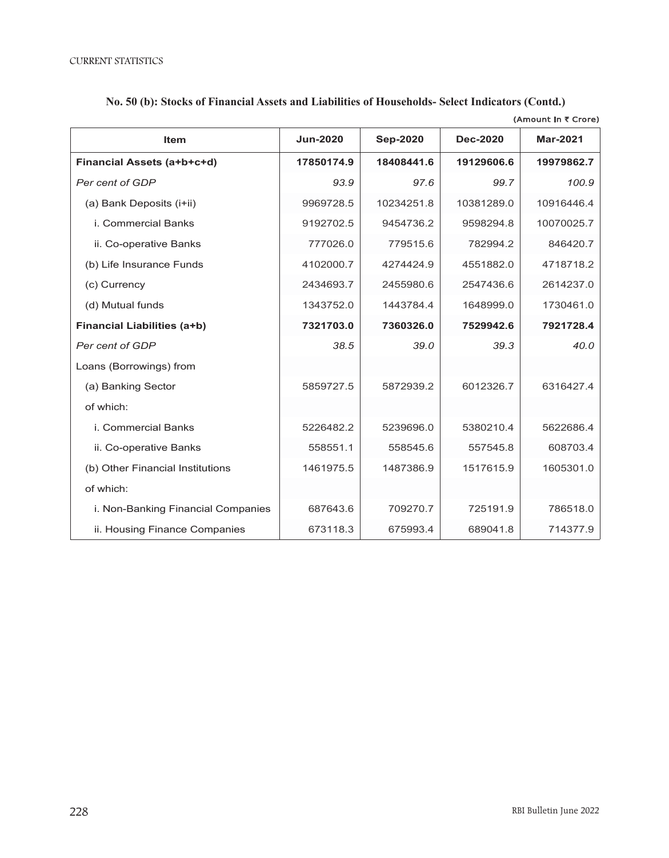| (Amount in ₹ Crore)                |                 |                 |                 |                 |  |
|------------------------------------|-----------------|-----------------|-----------------|-----------------|--|
| <b>Item</b>                        | <b>Jun-2020</b> | <b>Sep-2020</b> | <b>Dec-2020</b> | <b>Mar-2021</b> |  |
| Financial Assets (a+b+c+d)         | 17850174.9      | 18408441.6      | 19129606.6      | 19979862.7      |  |
| Per cent of GDP                    | 93.9            | 97.6            | 99.7            | 100.9           |  |
| (a) Bank Deposits (i+ii)           | 9969728.5       | 10234251.8      | 10381289.0      | 10916446.4      |  |
| i. Commercial Banks                | 9192702.5       | 9454736.2       | 9598294.8       | 10070025.7      |  |
| ii. Co-operative Banks             | 777026.0        | 779515.6        | 782994.2        | 846420.7        |  |
| (b) Life Insurance Funds           | 4102000.7       | 4274424.9       | 4551882.0       | 4718718.2       |  |
| (c) Currency                       | 2434693.7       | 2455980.6       | 2547436.6       | 2614237.0       |  |
| (d) Mutual funds                   | 1343752.0       | 1443784.4       | 1648999.0       | 1730461.0       |  |
| <b>Financial Liabilities (a+b)</b> | 7321703.0       | 7360326.0       | 7529942.6       | 7921728.4       |  |
| Per cent of GDP                    | 38.5            | 39.0            | 39.3            | 40.0            |  |
| Loans (Borrowings) from            |                 |                 |                 |                 |  |
| (a) Banking Sector                 | 5859727.5       | 5872939.2       | 6012326.7       | 6316427.4       |  |
| of which:                          |                 |                 |                 |                 |  |
| <i>i.</i> Commercial Banks         | 5226482.2       | 5239696.0       | 5380210.4       | 5622686.4       |  |
| ii. Co-operative Banks             | 558551.1        | 558545.6        | 557545.8        | 608703.4        |  |
| (b) Other Financial Institutions   | 1461975.5       | 1487386.9       | 1517615.9       | 1605301.0       |  |
| of which:                          |                 |                 |                 |                 |  |

i. Non-Banking Financial Companies | 687643.6 | 709270.7 | 725191.9 | 786518.0

ii. Housing Finance Companies | 673118.3 675993.4 689041.8 714377.9

## **No. 50 (b): Stocks of Financial Assets and Liabilities of Households - Select Indicators (Contd.) No. 50 (b): Stocks of Financial Assets and Liabilities of Households- Select Indicators (Contd.)**